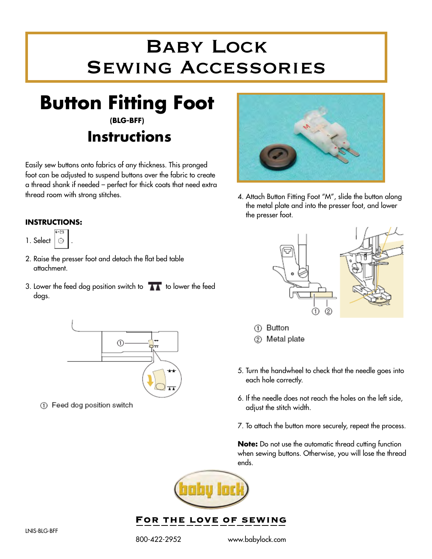## Baby Lock Sewing Accessories

**Button Fitting Foot (BLG-BFF)**

# **Instructions**

Easily sew buttons onto fabrics of any thickness. This pronged foot can be adjusted to suspend buttons over the fabric to create a thread shank if needed – perfect for thick coats that need extra thread room with strong stitches.

## **INSTRUCTIONS:**



- 2. Raise the presser foot and detach the flat bed table attachment.
- 3. Lower the feed dog position switch to  $\overline{a}$  to lower the feed dogs.



1 Feed dog position switch



4. Attach Button Fitting Foot "M", slide the button along the metal plate and into the presser foot, and lower the presser foot.





- 1 Button
- 2 Metal plate
- 5. Turn the handwheel to check that the needle goes into each hole correctly.
- 6. If the needle does not reach the holes on the left side, adjust the stitch width.
- 7. To attach the button more securely, repeat the process.

**Note:** Do not use the automatic thread cutting function when sewing buttons. Otherwise, you will lose the thread ends.



FOR THE LOVE OF SEWING

800-422-2952 www.babylock.com